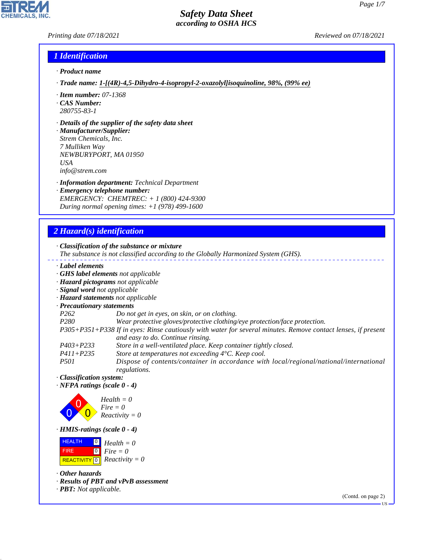### *Printing date 07/18/2021 Reviewed on 07/18/2021*

## *1 Identification*

- *· Product name*
- *· Trade name: 1- [(4R) - 4, 5- Dihydro- 4- isopropyl - 2- oxazolyl] isoquinoline, 98%, (99% ee)*
- *· Item number: 07-1368*
- *· CAS Number: 280755-83-1*
- *· Details of the supplier of the safety data sheet*

*· Manufacturer/Supplier: Strem Chemicals, Inc. 7 Mulliken Way NEWBURYPORT, MA 01950 USA info@strem.com*

*· Information department: Technical Department*

*· Emergency telephone number: EMERGENCY: CHEMTREC: + 1 (800) 424-9300 During normal opening times: +1 (978) 499-1600*

# *2 Hazard(s) identification*

*· Classification of the substance or mixture*

- *The substance is not classified according to the Globally Harmonized System (GHS).*
- *· Label elements*
- *· GHS label elements not applicable*
- *· Hazard pictograms not applicable*
- *· Signal word not applicable*
- *· Hazard statements not applicable*
- *· Precautionary statements*
- *P262 Do not get in eyes, on skin, or on clothing.*
- *P280 Wear protective gloves/protective clothing/eye protection/face protection.*

*P305+P351+P338 If in eyes: Rinse cautiously with water for several minutes. Remove contact lenses, if present and easy to do. Continue rinsing.*

- *P403+P233 Store in a well-ventilated place. Keep container tightly closed.*
- *P411+P235 Store at temperatures not exceeding 4°C. Keep cool.*

*P501 Dispose of contents/container in accordance with local/regional/national/international regulations.*

*· Classification system:*

*· NFPA ratings (scale 0 - 4)*



*· HMIS-ratings (scale 0 - 4)*

 HEALTH FIRE  $\boxed{\text{REACTIVITY} \boxed{0}}$  Reactivity = 0  $\boxed{0}$  $\boxed{0}$ *Health = 0 Fire = 0*

*· Other hazards*

44.1.1

- *· Results of PBT and vPvB assessment*
- *· PBT: Not applicable.*

(Contd. on page 2)

US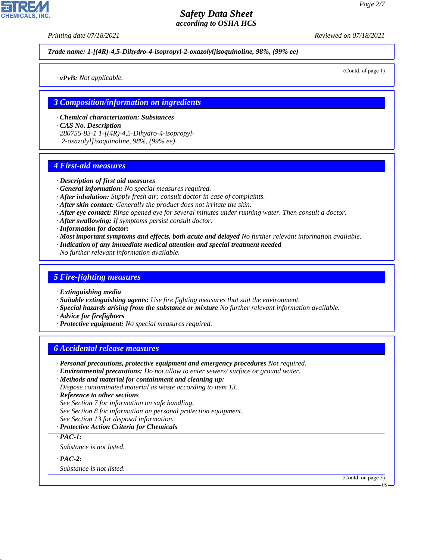*Printing date 07/18/2021 Reviewed on 07/18/2021*

*Trade name: 1- [(4R) - 4, 5- Dihydro- 4- isopropyl - 2- oxazolyl] isoquinoline, 98%, (99% ee)*

(Contd. of page 1)

*· vPvB: Not applicable.*

#### *3 Composition/information on ingredients*

*· Chemical characterization: Substances · CAS No. Description 280755-83-1 1-[(4R)-4,5-Dihydro-4-isopropyl-2-oxazolyl]isoquinoline, 98%, (99% ee)*

## *4 First-aid measures*

#### *· Description of first aid measures*

- *· General information: No special measures required.*
- *· After inhalation: Supply fresh air; consult doctor in case of complaints.*
- *· After skin contact: Generally the product does not irritate the skin.*
- *· After eye contact: Rinse opened eye for several minutes under running water. Then consult a doctor.*
- *· After swallowing: If symptoms persist consult doctor.*
- *· Information for doctor:*
- *· Most important symptoms and effects, both acute and delayed No further relevant information available.*
- *· Indication of any immediate medical attention and special treatment needed*
- *No further relevant information available.*

## *5 Fire-fighting measures*

- *· Extinguishing media*
- *· Suitable extinguishing agents: Use fire fighting measures that suit the environment.*
- *· Special hazards arising from the substance or mixture No further relevant information available.*
- *· Advice for firefighters*
- *· Protective equipment: No special measures required.*

## *6 Accidental release measures*

- *· Personal precautions, protective equipment and emergency procedures Not required.*
- *· Environmental precautions: Do not allow to enter sewers/ surface or ground water.*
- *· Methods and material for containment and cleaning up:*

*Dispose contaminated material as waste according to item 13.*

- *· Reference to other sections*
- *See Section 7 for information on safe handling.*
- *See Section 8 for information on personal protection equipment.*
- *See Section 13 for disposal information.*
- *· Protective Action Criteria for Chemicals*

*· PAC-1:*

*Substance is not listed.*

*· PAC-2:*

44.1.1

*Substance is not listed.*

(Contd. on page 3)

US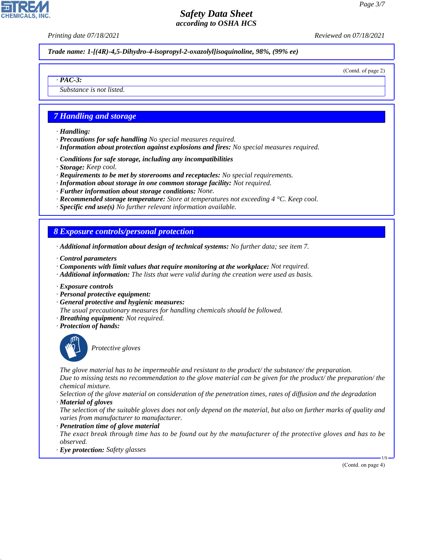*Printing date 07/18/2021 Reviewed on 07/18/2021*

*Trade name: 1- [(4R) - 4, 5- Dihydro- 4- isopropyl - 2- oxazolyl] isoquinoline, 98%, (99% ee)*

(Contd. of page 2)

*Substance is not listed.*

## *7 Handling and storage*

*· Handling:*

*· PAC-3:*

- *· Precautions for safe handling No special measures required.*
- *· Information about protection against explosions and fires: No special measures required.*
- *· Conditions for safe storage, including any incompatibilities*
- *· Storage: Keep cool.*
- *· Requirements to be met by storerooms and receptacles: No special requirements.*
- *· Information about storage in one common storage facility: Not required.*
- *· Further information about storage conditions: None.*
- *· Recommended storage temperature: Store at temperatures not exceeding 4 °C. Keep cool.*
- *· Specific end use(s) No further relevant information available.*

## *8 Exposure controls/personal protection*

- *· Additional information about design of technical systems: No further data; see item 7.*
- *· Control parameters*
- *· Components with limit values that require monitoring at the workplace: Not required.*
- *· Additional information: The lists that were valid during the creation were used as basis.*
- *· Exposure controls*
- *· Personal protective equipment:*
- *· General protective and hygienic measures:*
- *The usual precautionary measures for handling chemicals should be followed.*
- *· Breathing equipment: Not required.*
- *· Protection of hands:*



44.1.1

\_S*Protective gloves*

*The glove material has to be impermeable and resistant to the product/ the substance/ the preparation. Due to missing tests no recommendation to the glove material can be given for the product/ the preparation/ the chemical mixture.*

*Selection of the glove material on consideration of the penetration times, rates of diffusion and the degradation · Material of gloves*

*The selection of the suitable gloves does not only depend on the material, but also on further marks of quality and varies from manufacturer to manufacturer.*

*· Penetration time of glove material*

*The exact break through time has to be found out by the manufacturer of the protective gloves and has to be observed.*

*· Eye protection: Safety glasses*

(Contd. on page 4)

US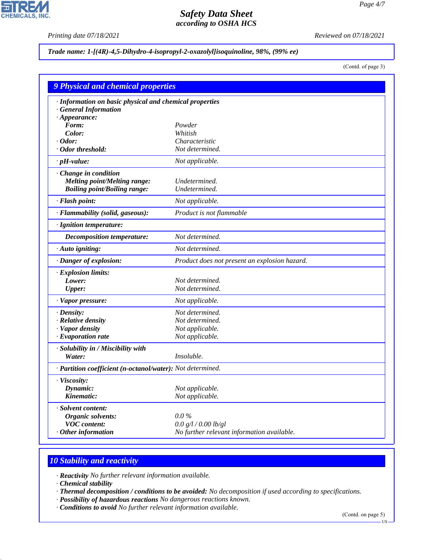P

**CHEMICALS, INC.** 

*Printing date 07/18/2021 Reviewed on 07/18/2021*

## *Trade name: 1- [(4R) - 4, 5- Dihydro- 4- isopropyl - 2- oxazolyl] isoquinoline, 98%, (99% ee)*

(Contd. of page 3)

| 9 Physical and chemical properties                         |                                               |  |
|------------------------------------------------------------|-----------------------------------------------|--|
| · Information on basic physical and chemical properties    |                                               |  |
| · General Information                                      |                                               |  |
| $\cdot$ Appearance:                                        |                                               |  |
| Form:                                                      | Powder                                        |  |
| Color:                                                     | Whitish                                       |  |
| $\cdot$ Odor:                                              | Characteristic                                |  |
| · Odor threshold:                                          | Not determined.                               |  |
| $\cdot$ pH-value:                                          | Not applicable.                               |  |
| · Change in condition                                      |                                               |  |
| <b>Melting point/Melting range:</b>                        | Undetermined.                                 |  |
| <b>Boiling point/Boiling range:</b>                        | Undetermined.                                 |  |
| · Flash point:                                             | Not applicable.                               |  |
| · Flammability (solid, gaseous):                           | Product is not flammable                      |  |
| · Ignition temperature:                                    |                                               |  |
| <b>Decomposition temperature:</b>                          | Not determined.                               |  |
| $\cdot$ Auto igniting:                                     | Not determined.                               |  |
| · Danger of explosion:                                     | Product does not present an explosion hazard. |  |
| $\cdot$ Explosion limits:                                  |                                               |  |
| Lower:                                                     | Not determined.                               |  |
| <b>Upper:</b>                                              | Not determined.                               |  |
| · Vapor pressure:                                          | Not applicable.                               |  |
| $\cdot$ Density:                                           | Not determined.                               |  |
| · Relative density                                         | Not determined.                               |  |
| · Vapor density                                            | Not applicable.                               |  |
| $\cdot$ Evaporation rate                                   | Not applicable.                               |  |
| · Solubility in / Miscibility with                         |                                               |  |
| Water:                                                     | Insoluble.                                    |  |
| · Partition coefficient (n-octanol/water): Not determined. |                                               |  |
| · Viscosity:                                               |                                               |  |
| Dynamic:                                                   | Not applicable.                               |  |
| Kinematic:                                                 | Not applicable.                               |  |
| · Solvent content:                                         |                                               |  |
| Organic solvents:                                          | $0.0\%$                                       |  |
| <b>VOC</b> content:                                        | 0.0 g/l / 0.00 lb/gl                          |  |
| $\cdot$ Other information                                  | No further relevant information available.    |  |

# *10 Stability and reactivity*

*· Reactivity No further relevant information available.*

*· Chemical stability*

44.1.1

*· Thermal decomposition / conditions to be avoided: No decomposition if used according to specifications.*

- *· Possibility of hazardous reactions No dangerous reactions known.*
- *· Conditions to avoid No further relevant information available.*

(Contd. on page 5)

US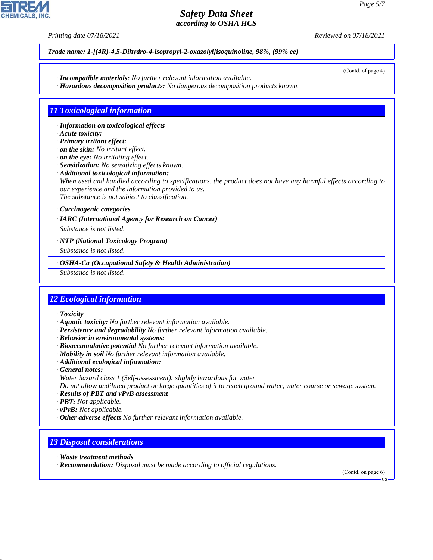*Printing date 07/18/2021 Reviewed on 07/18/2021*

*Trade name: 1- [(4R) - 4, 5- Dihydro- 4- isopropyl - 2- oxazolyl] isoquinoline, 98%, (99% ee)*

- *· Incompatible materials: No further relevant information available.*
- *· Hazardous decomposition products: No dangerous decomposition products known.*

# *11 Toxicological information*

- *· Information on toxicological effects*
- *· Acute toxicity:*
- *· Primary irritant effect:*
- *· on the skin: No irritant effect.*
- *· on the eye: No irritating effect.*
- *· Sensitization: No sensitizing effects known.*
- *· Additional toxicological information:*

*When used and handled according to specifications, the product does not have any harmful effects according to our experience and the information provided to us. The substance is not subject to classification.*

*· Carcinogenic categories*

#### *· IARC (International Agency for Research on Cancer)*

*Substance is not listed.*

#### *· NTP (National Toxicology Program)*

*Substance is not listed.*

*· OSHA-Ca (Occupational Safety & Health Administration)*

*Substance is not listed.*

# *12 Ecological information*

*· Toxicity*

- *· Aquatic toxicity: No further relevant information available.*
- *· Persistence and degradability No further relevant information available.*
- *· Behavior in environmental systems:*
- *· Bioaccumulative potential No further relevant information available.*
- *· Mobility in soil No further relevant information available.*
- *· Additional ecological information:*
- *· General notes:*
- *Water hazard class 1 (Self-assessment): slightly hazardous for water*

*Do not allow undiluted product or large quantities of it to reach ground water, water course or sewage system.*

- *· Results of PBT and vPvB assessment*
- *· PBT: Not applicable.*
- *· vPvB: Not applicable.*
- *· Other adverse effects No further relevant information available.*

# *13 Disposal considerations*

*· Waste treatment methods*

44.1.1

*· Recommendation: Disposal must be made according to official regulations.*

(Contd. on page 6)

US



(Contd. of page 4)

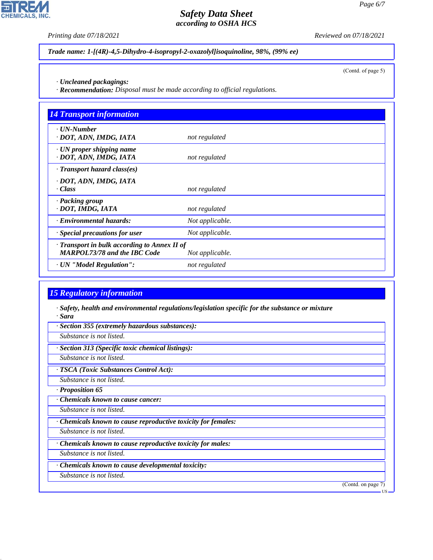*Printing date 07/18/2021 Reviewed on 07/18/2021*

*Trade name: 1- [(4R) - 4, 5- Dihydro- 4- isopropyl - 2- oxazolyl] isoquinoline, 98%, (99% ee)*

(Contd. of page 5)

*· Uncleaned packagings:*

*· Recommendation: Disposal must be made according to official regulations.*

| <b>14 Transport information</b>                                                     |                 |
|-------------------------------------------------------------------------------------|-----------------|
| $\cdot$ UN-Number<br>· DOT, ADN, IMDG, IATA                                         | not regulated   |
| $\cdot$ UN proper shipping name<br>· DOT, ADN, IMDG, IATA                           | not regulated   |
| $\cdot$ Transport hazard class(es)                                                  |                 |
| · DOT, ADN, IMDG, IATA<br>· Class                                                   | not regulated   |
| · Packing group<br>· DOT, IMDG, IATA                                                | not regulated   |
| · Environmental hazards:                                                            | Not applicable. |
| Special precautions for user                                                        | Not applicable. |
| · Transport in bulk according to Annex II of<br><b>MARPOL73/78 and the IBC Code</b> | Not applicable. |
| · UN "Model Regulation":                                                            | not regulated   |

# *15 Regulatory information*

*· Safety, health and environmental regulations/legislation specific for the substance or mixture · Sara*

*· Section 355 (extremely hazardous substances):*

*Substance is not listed.*

*· Section 313 (Specific toxic chemical listings):*

*Substance is not listed.*

*· TSCA (Toxic Substances Control Act):*

*Substance is not listed.*

*· Proposition 65*

*· Chemicals known to cause cancer:*

*Substance is not listed.*

*· Chemicals known to cause reproductive toxicity for females:*

*Substance is not listed.*

*· Chemicals known to cause reproductive toxicity for males:*

*Substance is not listed.*

*· Chemicals known to cause developmental toxicity:*

*Substance is not listed.*

44.1.1

(Contd. on page 7)



US